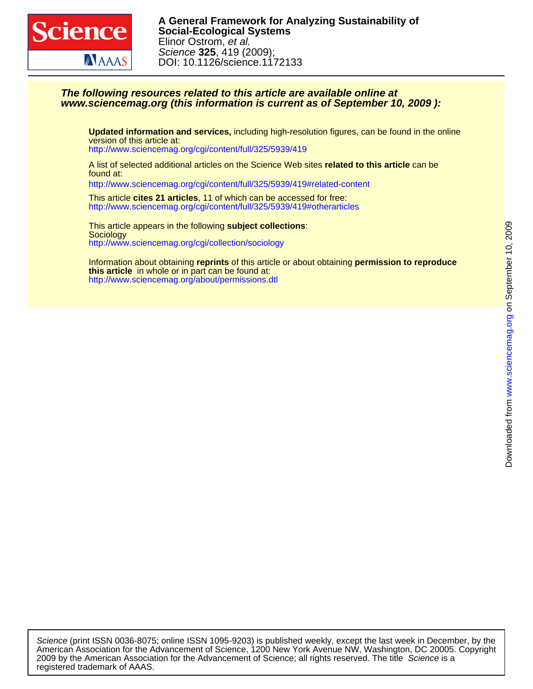

### **www.sciencemag.org (this information is current as of September 10, 2009 ): The following resources related to this article are available online at**

version of this article at: **Updated information and services,** including high-resolution figures, can be found in the online

<http://www.sciencemag.org/cgi/content/full/325/5939/419>

found at: A list of selected additional articles on the Science Web sites **related to this article** can be

<http://www.sciencemag.org/cgi/content/full/325/5939/419#related-content>

<http://www.sciencemag.org/cgi/content/full/325/5939/419#otherarticles> This article **cites 21 articles**, 11 of which can be accessed for free:

<http://www.sciencemag.org/cgi/collection/sociology> **Sociology** This article appears in the following **subject collections**:

<http://www.sciencemag.org/about/permissions.dtl> **this article** in whole or in part can be found at: Information about obtaining **reprints** of this article or about obtaining **permission to reproduce**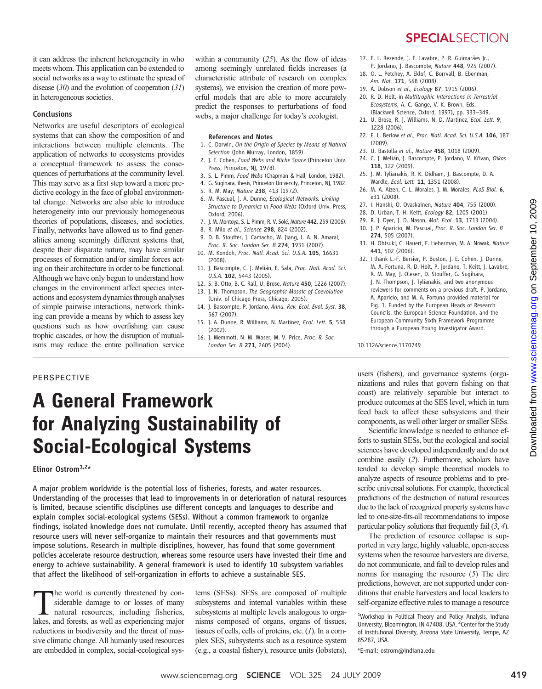it can address the inherent heterogeneity in who meets whom. This application can be extended to social networks as a way to estimate the spread of disease  $(30)$  and the evolution of cooperation  $(31)$ in heterogeneous societies.

#### **Conclusions**

Networks are useful descriptors of ecological systems that can show the composition of and interactions between multiple elements. The application of networks to ecosystems provides a conceptual framework to assess the consequences of perturbations at the community level. This may serve as a first step toward a more predictive ecology in the face of global environmental change. Networks are also able to introduce heterogeneity into our previously homogeneous theories of populations, diseases, and societies. Finally, networks have allowed us to find generalities among seemingly different systems that, despite their disparate nature, may have similar processes of formation and/or similar forces acting on their architecture in order to be functional. Although we have only begun to understand how changes in the environment affect species interactions and ecosystem dynamics through analyses of simple pairwise interactions, network thinking can provide a means by which to assess key questions such as how overfishing can cause trophic cascades, or how the disruption of mutualisms may reduce the entire pollination service

within a community  $(25)$ . As the flow of ideas among seemingly unrelated fields increases (a characteristic attribute of research on complex systems), we envision the creation of more powerful models that are able to more accurately predict the responses to perturbations of food webs, a major challenge for today's ecologist.

#### References and Notes

- 1. C. Darwin, On the Origin of Species by Means of Natural Selection (John Murray, London, 1859).
- 2. J. E. Cohen, Food Webs and Niche Space (Princeton Univ. Press, Princeton, NJ, 1978).
- 3. S. L. Pimm, Food Webs (Chapman & Hall, London, 1982).
- 4. G. Sugihara, thesis, Princeton University, Princeton, NJ, 1982.
- 5. R. M. May, Nature 238, 413 (1972).
- 6. M. Pascual, J. A. Dunne, Ecological Networks. Linking Structure to Dynamics in Food Webs (Oxford Univ. Press, Oxford, 2006).
- 7. J. M. Montoya, S. L. Pimm, R. V. Solé, Nature 442, 259 (2006).
- 8. R. Milo et al., Science 298, 824 (2002).
- 9. D. B. Stouffer, J. Camacho, W. Jiang, L. A. N. Amaral,
- Proc. R. Soc. London Ser. B 274, 1931 (2007). 10. M. Kondoh, Proc. Natl. Acad. Sci. U.S.A. 105, 16631 (2008).
- 11. J. Bascompte, C. J. Melián, E. Sala, Proc. Natl. Acad. Sci. U.S.A. 102, 5443 (2005).
- 12. S. B. Otto, B. C. Rall, U. Brose, Nature 450, 1226 (2007). 13. J. N. Thompson, The Geographic Mosaic of Coevolution
- (Univ. of Chicago Press, Chicago, 2005). 14. J. Bascompte, P. Jordano, Annu. Rev. Ecol. Evol. Syst. 38, 567 (2007).
- 15. J. A. Dunne, R. Williams, N. Martinez, Ecol. Lett. 5, 558 (2002).
- 16. J. Memmott, N. M. Waser, M. V. Price, Proc. R. Soc. London Ser. B 271, 2605 (2004).
- **SPECIALSECTION**
- 17. E. L. Rezende, J. E. Lavabre, P. R. Guimarães Jr.,
- P. Jordano, J. Bascompte, Nature 448, 925 (2007). 18. O. L. Petchey, A. Eklof, C. Borrvall, B. Ebenman, Am. Nat. 171, 568 (2008).
- 
- 19. A. Dobson et al., Ecology 87, 1915 (2006). 20. R. D. Holt, in Multitrophic Interactions in Terrestrial Ecosystems, A. C. Gange, V. K. Brown, Eds. (Blackwell Science, Oxford, 1997), pp. 333–349.
- 21. U. Brose, R. J. Williams, N. D. Martinez, Ecol. Lett. 9, 1228 (2006).
- 22. E. L. Berlow et al., Proc. Natl. Acad. Sci. U.S.A. 106, 187 (2009).
- 23. U. Bastolla et al., Nature 458, 1018 (2009).
- 24. C. J. Melián, J. Bascompte, P. Jordano, V. Křivan, Oikos 118, 122 (2009).
- 25. J. M. Tylianakis, R. K. Didham, J. Bascompte, D. A. Wardle, Ecol. Lett. **11**, 1351 (2008).
- 26. M. A. Aizen, C. L. Morales, J. M. Morales, PLoS Biol. 6, e31 (2008).
- 27. I. Hanski, O. Ovaskainen, Nature 404, 755 (2000).
- 28. D. Urban, T. H. Keitt, Ecology 82, 1205 (2001).
- 29. R. J. Dyer, J. D. Nason, Mol. Ecol. 13, 1713 (2004).
- 30. J. P. Aparicio, M. Pascual, Proc. R. Soc. London Ser. B 274, 505 (2007).
- 31. H. Ohtsuki, C. Hauert, E. Lieberman, M. A. Nowak, Nature 441, 502 (2006).
- 32. I thank L.-F. Bersier, P. Buston, J. E. Cohen, J. Dunne, M. A. Fortuna, R. D. Holt, P. Jordano, T. Keitt, J. Lavabre, R. M. May, J. Olesen, D. Stouffer, G. Sugihara, J. N. Thompson, J. Tylianakis, and two anonymous reviewers for comments on a previous draft. P. Jordano, A. Aparicio, and M. A. Fortuna provided material for Fig. 1. Funded by the European Heads of Research

www.sciencemag.orgon September 10, 2009

Downloaded from www.sciencemag.org on September 10, 2009

Downloaded from

Councils, the European Science Foundation, and the European Community Sixth Framework Programme through a European Young Investigator Award.

10.1126/science.1170749

### PERSPECTIVE

# **A General Framework** for Analyzing Sustainability of **formal** sustainability of the Sustainability of the Superior Contractor Contractor Contractor Contractor Contractor

 $\sum_{i=1}^{\infty}$  System  $\sum_{i=1}^{\infty}$  System  $\sum_{i=1}^{\infty}$ Elinor Ostrom<sup>1,2\*</sup>

A major problem worldwide is the potential loss of fisheries, forests, and water resources. Understanding of the processes that lead to improvements in or deterioration of natural resources is limited, because scientific disciplines use different concepts and languages to describe and explain complex social-ecological systems (SESs). Without a common framework to organize findings, isolated knowledge does not cumulate. Until recently, accepted theory has assumed that resource users will never self-organize to maintain their resources and that governments must impose solutions. Research in multiple disciplines, however, has found that some government policies accelerate resource destruction, whereas some resource users have invested their time and energy to achieve sustainability. A general framework is used to identify 10 subsystem variables that affect the likelihood of self-organization in efforts to achieve a sustainable SES.

The world is currently threatened by considerable damage to or losses of many natural resources, including fisheries, lakes and forests as well as experiencing major siderable damage to or losses of many lakes, and forests, as well as experiencing major reductions in biodiversity and the threat of massive climatic change. All humanly used resources are embedded in complex, social-ecological systems (SESs). SESs are composed of multiple subsystems and internal variables within these subsystems at multiple levels analogous to organisms composed of organs, organs of tissues, tissues of cells, cells of proteins, etc.  $(1)$ . In a complex SES, subsystems such as a resource system (e.g., a coastal fishery), resource units (lobsters),

users (fishers), and governance systems (organizations and rules that govern fishing on that coast) are relatively separable but interact to produce outcomes at the SES level, which in turn feed back to affect these subsystems and their components, as well other larger or smaller SESs.

Scientific knowledge is needed to enhance efforts to sustain SESs, but the ecological and social sciences have developed independently and do not combine easily (2). Furthermore, scholars have tended to develop simple theoretical models to analyze aspects of resource problems and to prescribe universal solutions. For example, theoretical predictions of the destruction of natural resources due to the lack of recognized property systems have led to one-size-fits-all recommendations to impose particular policy solutions that frequently fail (3, 4).

The prediction of resource collapse is supported in very large, highly valuable, open-access systems when the resource harvesters are diverse, do not communicate, and fail to develop rules and norms for managing the resource (5) The dire predictions, however, are not supported under conditions that enable harvesters and local leaders to self-organize effective rules to manage a resource

\*E-mail: ostrom@indiana.edu

<sup>&</sup>lt;sup>1</sup>Workshop in Political Theory and Policy Analysis, Indiana University, Bloomington, IN 47408, USA. <sup>2</sup> Center for the Study of Institutional Diversity, Arizona State University, Tempe, AZ 85287, USA.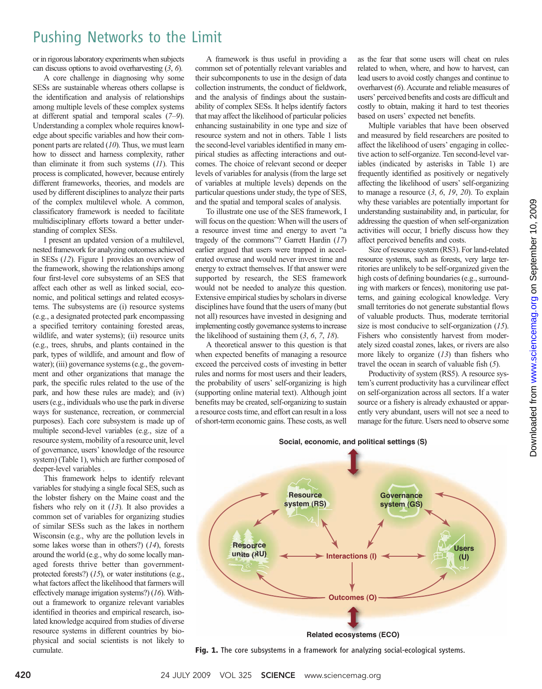## Pushing Networks to the Limit

or in rigorous laboratory experiments when subjects can discuss options to avoid overharvesting (3, 6).

A core challenge in diagnosing why some SESs are sustainable whereas others collapse is the identification and analysis of relationships among multiple levels of these complex systems at different spatial and temporal scales (7–9). Understanding a complex whole requires knowledge about specific variables and how their component parts are related  $(10)$ . Thus, we must learn how to dissect and harness complexity, rather than eliminate it from such systems  $(11)$ . This process is complicated, however, because entirely different frameworks, theories, and models are used by different disciplines to analyze their parts of the complex multilevel whole. A common, classificatory framework is needed to facilitate multidisciplinary efforts toward a better understanding of complex SESs.

I present an updated version of a multilevel, nested framework for analyzing outcomes achieved in SESs (12). Figure 1 provides an overview of the framework, showing the relationships among four first-level core subsystems of an SES that affect each other as well as linked social, economic, and political settings and related ecosystems. The subsystems are (i) resource systems (e.g., a designated protected park encompassing a specified territory containing forested areas, wildlife, and water systems); (ii) resource units (e.g., trees, shrubs, and plants contained in the park, types of wildlife, and amount and flow of water); (iii) governance systems (e.g., the government and other organizations that manage the park, the specific rules related to the use of the park, and how these rules are made); and (iv) users (e.g., individuals who use the park in diverse ways for sustenance, recreation, or commercial purposes). Each core subsystem is made up of multiple second-level variables (e.g., size of a resource system, mobility of a resource unit, level of governance, users' knowledge of the resource system) (Table 1), which are further composed of deeper-level variables .

This framework helps to identify relevant variables for studying a single focal SES, such as the lobster fishery on the Maine coast and the fishers who rely on it  $(13)$ . It also provides a common set of variables for organizing studies of similar SESs such as the lakes in northern Wisconsin (e.g., why are the pollution levels in some lakes worse than in others?) (14), forests around the world (e.g., why do some locally managed forests thrive better than governmentprotected forests?) (15), or water institutions (e.g., what factors affect the likelihood that farmers will effectively manage irrigation systems?) (16). Without a framework to organize relevant variables identified in theories and empirical research, isolated knowledge acquired from studies of diverse resource systems in different countries by biophysical and social scientists is not likely to cumulate.

A framework is thus useful in providing a common set of potentially relevant variables and their subcomponents to use in the design of data collection instruments, the conduct of fieldwork, and the analysis of findings about the sustainability of complex SESs. It helps identify factors that may affect the likelihood of particular policies enhancing sustainability in one type and size of resource system and not in others. Table 1 lists the second-level variables identified in many empirical studies as affecting interactions and outcomes. The choice of relevant second or deeper levels of variables for analysis (from the large set of variables at multiple levels) depends on the particular questions under study, the type of SES, and the spatial and temporal scales of analysis.

To illustrate one use of the SES framework, I will focus on the question: When will the users of a resource invest time and energy to avert "a tragedy of the commons"? Garrett Hardin (17) earlier argued that users were trapped in accelerated overuse and would never invest time and energy to extract themselves. If that answer were supported by research, the SES framework would not be needed to analyze this question. Extensive empirical studies by scholars in diverse disciplines have found that the users of many (but not all) resources have invested in designing and implementing costly governance systems to increase the likelihood of sustaining them  $(3, 6, 7, 18)$ .

A theoretical answer to this question is that when expected benefits of managing a resource exceed the perceived costs of investing in better rules and norms for most users and their leaders, the probability of users' self-organizing is high (supporting online material text). Although joint benefits may be created, self-organizing to sustain a resource costs time, and effort can result in a loss of short-term economic gains. These costs, as well

as the fear that some users will cheat on rules related to when, where, and how to harvest, can lead users to avoid costly changes and continue to overharvest (6). Accurate and reliable measures of users' perceived benefits and costs are difficult and costly to obtain, making it hard to test theories based on users' expected net benefits.

Multiple variables that have been observed and measured by field researchers are posited to affect the likelihood of users' engaging in collective action to self-organize. Ten second-level variables (indicated by asterisks in Table 1) are frequently identified as positively or negatively affecting the likelihood of users' self-organizing to manage a resource  $(3, 6, 19, 20)$ . To explain why these variables are potentially important for understanding sustainability and, in particular, for addressing the question of when self-organization activities will occur, I briefly discuss how they affect perceived benefits and costs.

Size of resource system (RS3). For land-related resource systems, such as forests, very large territories are unlikely to be self-organized given the high costs of defining boundaries (e.g., surrounding with markers or fences), monitoring use patterns, and gaining ecological knowledge. Very small territories do not generate substantial flows of valuable products. Thus, moderate territorial size is most conducive to self-organization (15). Fishers who consistently harvest from moderately sized coastal zones, lakes, or rivers are also more likely to organize  $(13)$  than fishers who travel the ocean in search of valuable fish (5).

Productivity of system (RS5). A resource system's current productivity has a curvilinear effect on self-organization across all sectors. If a water source or a fishery is already exhausted or apparently very abundant, users will not see a need to manage for the future. Users need to observe some





Fig. 1. The core subsystems in a framework for analyzing social-ecological systems.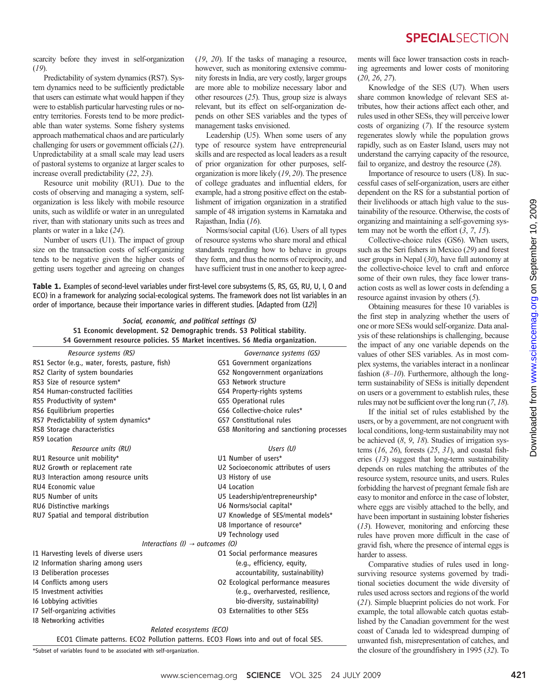scarcity before they invest in self-organization (19).

Predictability of system dynamics (RS7). System dynamics need to be sufficiently predictable that users can estimate what would happen if they were to establish particular harvesting rules or noentry territories. Forests tend to be more predictable than water systems. Some fishery systems approach mathematical chaos and are particularly challenging for users or government officials (21). Unpredictability at a small scale may lead users of pastoral systems to organize at larger scales to increase overall predictability (22, 23).

Resource unit mobility (RU1). Due to the costs of observing and managing a system, selforganization is less likely with mobile resource units, such as wildlife or water in an unregulated river, than with stationary units such as trees and plants or water in a lake (24).

Number of users (U1). The impact of group size on the transaction costs of self-organizing tends to be negative given the higher costs of getting users together and agreeing on changes

(19, 20). If the tasks of managing a resource, however, such as monitoring extensive community forests in India, are very costly, larger groups are more able to mobilize necessary labor and other resources (25). Thus, group size is always relevant, but its effect on self-organization depends on other SES variables and the types of management tasks envisioned.

Leadership (U5). When some users of any type of resource system have entrepreneurial skills and are respected as local leaders as a result of prior organization for other purposes, selforganization is more likely (19, 20). The presence of college graduates and influential elders, for example, had a strong positive effect on the establishment of irrigation organization in a stratified sample of 48 irrigation systems in Karnataka and Rajasthan, India (16).

Norms/social capital (U6). Users of all types of resource systems who share moral and ethical standards regarding how to behave in groups they form, and thus the norms of reciprocity, and have sufficient trust in one another to keep agree-

Table 1. Examples of second-level variables under first-level core subsystems (S, RS, GS, RU, U, I, O and ECO) in a framework for analyzing social-ecological systems. The framework does not list variables in an order of importance, because their importance varies in different studies. [Adapted from (12)]

| Social, economic, and political settings (S)                                  |  |  |
|-------------------------------------------------------------------------------|--|--|
| S1 Economic development. S2 Demographic trends. S3 Political stability.       |  |  |
| S4 Government resource policies. S5 Market incentives. S6 Media organization. |  |  |

| Resource systems (RS)                            | Governance systems (GS)                  |
|--------------------------------------------------|------------------------------------------|
| RS1 Sector (e.g., water, forests, pasture, fish) | GS1 Government organizations             |
| RS2 Clarity of system boundaries                 | GS2 Nongovernment organizations          |
| RS3 Size of resource system*                     | GS3 Network structure                    |
| RS4 Human-constructed facilities                 | GS4 Property-rights systems              |
| RS5 Productivity of system*                      | GS5 Operational rules                    |
| RS6 Equilibrium properties                       | GS6 Collective-choice rules*             |
| RS7 Predictability of system dynamics*           | <b>GS7 Constitutional rules</b>          |
| RS8 Storage characteristics                      | GS8 Monitoring and sanctioning processes |
| <b>RS9 Location</b>                              |                                          |
| Resource units (RU)                              | Users (U)                                |
| RU1 Resource unit mobility*                      | U1 Number of users*                      |
| RU2 Growth or replacement rate                   | U2 Socioeconomic attributes of users     |
| RU3 Interaction among resource units             | U3 History of use                        |
| RU4 Economic value                               | U4 Location                              |
| <b>RU5 Number of units</b>                       | U5 Leadership/entrepreneurship*          |
| RU6 Distinctive markings                         | U6 Norms/social capital*                 |
| RU7 Spatial and temporal distribution            | U7 Knowledge of SES/mental models*       |
|                                                  | U8 Importance of resource*               |
|                                                  | $110$ Tachnalams usad                    |

#### Interactions (I)  $\rightarrow$  outcomes (O)

I1 Harvesting levels of diverse users I2 Information sharing among users I3 Deliberation processes I4 Conflicts among users I5 Investment activities

- 
- I6 Lobbying activities
- I7 Self-organizing activities

I8 Networking activities

Related ecosystems (ECO)

ECO1 Climate patterns. ECO2 Pollution patterns. ECO3 Flows into and out of focal SES.

\*Subset of variables found to be associated with self-organization.

## U9 Technology used O1 Social performance measures (e.g., efficiency, equity,

accountability, sustainability) O2 Ecological performance measures (e.g., overharvested, resilience, bio-diversity, sustainability) O3 Externalities to other SESs

ments will face lower transaction costs in reaching agreements and lower costs of monitoring (20, 26, 27).

Knowledge of the SES (U7). When users share common knowledge of relevant SES attributes, how their actions affect each other, and rules used in other SESs, they will perceive lower costs of organizing (7). If the resource system regenerates slowly while the population grows rapidly, such as on Easter Island, users may not understand the carrying capacity of the resource, fail to organize, and destroy the resource (28).

Importance of resource to users (U8). In successful cases of self-organization, users are either dependent on the RS for a substantial portion of their livelihoods or attach high value to the sustainability of the resource. Otherwise, the costs of organizing and maintaining a self-governing system may not be worth the effort  $(3, 7, 15)$ .

Collective-choice rules (GS6). When users, such as the Seri fishers in Mexico (29) and forest user groups in Nepal (30), have full autonomy at the collective-choice level to craft and enforce some of their own rules, they face lower transaction costs as well as lower costs in defending a resource against invasion by others (5).

Obtaining measures for these 10 variables is the first step in analyzing whether the users of one or more SESs would self-organize. Data analysis of these relationships is challenging, because the impact of any one variable depends on the values of other SES variables. As in most complex systems, the variables interact in a nonlinear fashion  $(8-10)$ . Furthermore, although the longterm sustainability of SESs is initially dependent on users or a government to establish rules, these rules may not be sufficient over the long run (7, 18).

If the initial set of rules established by the users, or by a government, are not congruent with local conditions, long-term sustainability may not be achieved  $(8, 9, 18)$ . Studies of irrigation systems  $(16, 26)$ , forests  $(25, 31)$ , and coastal fisheries (13) suggest that long-term sustainability depends on rules matching the attributes of the resource system, resource units, and users. Rules forbidding the harvest of pregnant female fish are easy to monitor and enforce in the case of lobster, where eggs are visibly attached to the belly, and have been important in sustaining lobster fisheries (13). However, monitoring and enforcing these rules have proven more difficult in the case of gravid fish, where the presence of internal eggs is harder to assess.

Comparative studies of rules used in longsurviving resource systems governed by traditional societies document the wide diversity of rules used across sectors and regions of the world (21). Simple blueprint policies do not work. For example, the total allowable catch quotas established by the Canadian government for the west coast of Canada led to widespread dumping of unwanted fish, misrepresentation of catches, and the closure of the groundfishery in 1995 (32). To